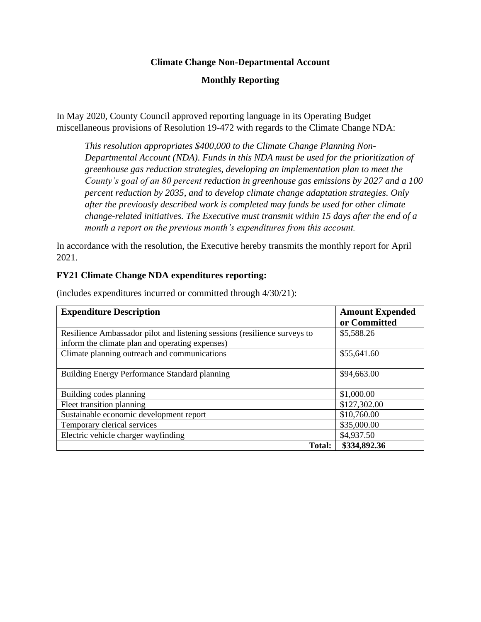#### **Climate Change Non-Departmental Account**

## **Monthly Reporting**

In May 2020, County Council approved reporting language in its Operating Budget miscellaneous provisions of Resolution 19-472 with regards to the Climate Change NDA:

*This resolution appropriates \$400,000 to the Climate Change Planning Non-Departmental Account (NDA). Funds in this NDA must be used for the prioritization of greenhouse gas reduction strategies, developing an implementation plan to meet the County's goal of an 80 percent reduction in greenhouse gas emissions by 2027 and a 100 percent reduction by 2035, and to develop climate change adaptation strategies. Only after the previously described work is completed may funds be used for other climate change-related initiatives. The Executive must transmit within 15 days after the end of a month a report on the previous month's expenditures from this account.*

In accordance with the resolution, the Executive hereby transmits the monthly report for April 2021.

#### **FY21 Climate Change NDA expenditures reporting:**

| <b>Expenditure Description</b>                                            | <b>Amount Expended</b> |
|---------------------------------------------------------------------------|------------------------|
|                                                                           | or Committed           |
| Resilience Ambassador pilot and listening sessions (resilience surveys to | \$5,588.26             |
| inform the climate plan and operating expenses)                           |                        |
| Climate planning outreach and communications                              | \$55,641.60            |
|                                                                           |                        |
| Building Energy Performance Standard planning                             | \$94,663.00            |
|                                                                           |                        |
| Building codes planning                                                   | \$1,000.00             |
| Fleet transition planning                                                 | \$127,302.00           |
| Sustainable economic development report                                   | \$10,760.00            |
| Temporary clerical services                                               | \$35,000.00            |
| Electric vehicle charger wayfinding                                       | \$4,937.50             |
| <b>Total:</b>                                                             | \$334,892.36           |

(includes expenditures incurred or committed through 4/30/21):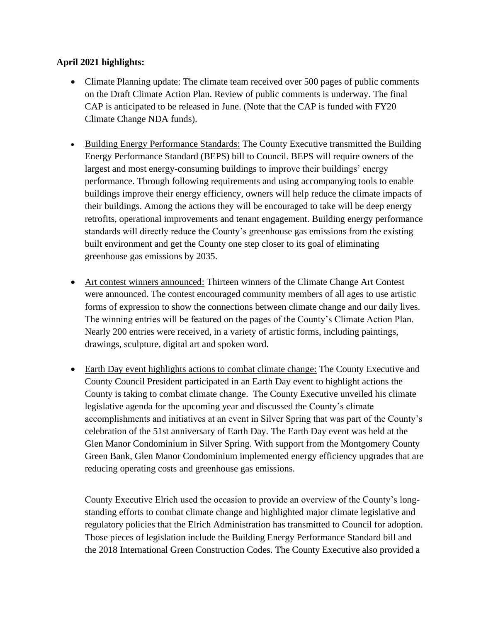# **April 2021 highlights:**

- Climate Planning update: The climate team received over 500 pages of public comments on the Draft Climate Action Plan. Review of public comments is underway. The final CAP is anticipated to be released in June. (Note that the CAP is funded with FY20 Climate Change NDA funds).
- Building Energy Performance Standards: The County Executive transmitted the Building Energy Performance Standard (BEPS) bill to Council. BEPS will require owners of the largest and most energy-consuming buildings to improve their buildings' energy performance. Through following requirements and using accompanying tools to enable buildings improve their energy efficiency, owners will help reduce the climate impacts of their buildings. Among the actions they will be encouraged to take will be deep energy retrofits, operational improvements and tenant engagement. Building energy performance standards will directly reduce the County's greenhouse gas emissions from the existing built environment and get the County one step closer to its goal of eliminating greenhouse gas emissions by 2035.
- Art contest winners announced: Thirteen winners of the Climate Change Art Contest were announced. The contest encouraged community members of all ages to use artistic forms of expression to show the connections between climate change and our daily lives. The winning entries will be featured on the pages of the County's Climate Action Plan. Nearly 200 entries were received, in a variety of artistic forms, including paintings, drawings, sculpture, digital art and spoken word.
- Earth Day event highlights actions to combat climate change: The County Executive and County Council President participated in an Earth Day event to highlight actions the County is taking to combat climate change. The County Executive unveiled his climate legislative agenda for the upcoming year and discussed the County's climate accomplishments and initiatives at an event in Silver Spring that was part of the County's celebration of the 51st anniversary of Earth Day. The Earth Day event was held at the Glen Manor Condominium in Silver Spring. With support from the Montgomery County Green Bank, Glen Manor Condominium implemented energy efficiency upgrades that are reducing operating costs and greenhouse gas emissions.

County Executive Elrich used the occasion to provide an overview of the County's longstanding efforts to combat climate change and highlighted major climate legislative and regulatory policies that the Elrich Administration has transmitted to Council for adoption. Those pieces of legislation include the Building Energy Performance Standard bill and the 2018 International Green Construction Codes. The County Executive also provided a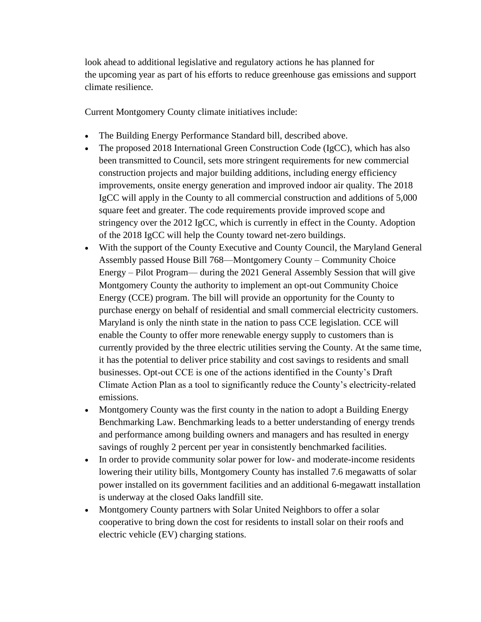look ahead to additional legislative and regulatory actions he has planned for the upcoming year as part of his efforts to reduce greenhouse gas emissions and support climate resilience.

Current Montgomery County climate initiatives include:

- The Building Energy Performance Standard bill, described above.
- The proposed 2018 International Green Construction Code (IgCC), which has also been transmitted to Council, sets more stringent requirements for new commercial construction projects and major building additions, including energy efficiency improvements, onsite energy generation and improved indoor air quality. The 2018 IgCC will apply in the County to all commercial construction and additions of 5,000 square feet and greater. The code requirements provide improved scope and stringency over the 2012 IgCC, which is currently in effect in the County. Adoption of the 2018 IgCC will help the County toward net-zero buildings.
- With the support of the County Executive and County Council, the Maryland General Assembly passed House Bill 768—Montgomery County – Community Choice Energy – Pilot Program— during the 2021 General Assembly Session that will give Montgomery County the authority to implement an opt-out Community Choice Energy (CCE) program. The bill will provide an opportunity for the County to purchase energy on behalf of residential and small commercial electricity customers. Maryland is only the ninth state in the nation to pass CCE legislation. CCE will enable the County to offer more renewable energy supply to customers than is currently provided by the three electric utilities serving the County. At the same time, it has the potential to deliver price stability and cost savings to residents and small businesses. Opt-out CCE is one of the actions identified in the County's Draft Climate Action Plan as a tool to significantly reduce the County's electricity-related emissions.
- Montgomery County was the first county in the nation to adopt a Building Energy Benchmarking Law. Benchmarking leads to a better understanding of energy trends and performance among building owners and managers and has resulted in energy savings of roughly 2 percent per year in consistently benchmarked facilities.
- In order to provide community solar power for low- and moderate-income residents lowering their utility bills, Montgomery County has installed 7.6 megawatts of solar power installed on its government facilities and an additional 6-megawatt installation is underway at the closed Oaks landfill site.
- Montgomery County partners with Solar United Neighbors to offer a solar cooperative to bring down the cost for residents to install solar on their roofs and electric vehicle (EV) charging stations.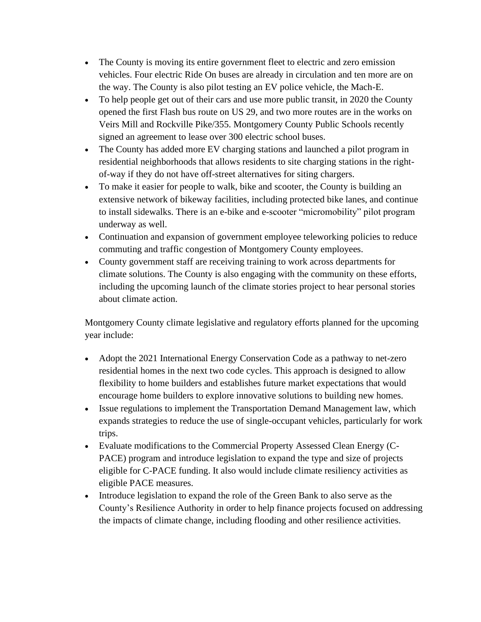- The County is moving its entire government fleet to electric and zero emission vehicles. Four electric Ride On buses are already in circulation and ten more are on the way. The County is also pilot testing an EV police vehicle, the Mach-E.
- To help people get out of their cars and use more public transit, in 2020 the County opened the first Flash bus route on US 29, and two more routes are in the works on Veirs Mill and Rockville Pike/355. Montgomery County Public Schools recently signed an agreement to lease over 300 electric school buses.
- The County has added more EV charging stations and launched a pilot program in residential neighborhoods that allows residents to site charging stations in the rightof-way if they do not have off-street alternatives for siting chargers.
- To make it easier for people to walk, bike and scooter, the County is building an extensive network of bikeway facilities, including protected bike lanes, and continue to install sidewalks. There is an e-bike and e-scooter "micromobility" pilot program underway as well.
- Continuation and expansion of government employee teleworking policies to reduce commuting and traffic congestion of Montgomery County employees.
- County government staff are receiving training to work across departments for climate solutions. The County is also engaging with the community on these efforts, including the upcoming launch of the climate stories project to hear personal stories about climate action.

Montgomery County climate legislative and regulatory efforts planned for the upcoming year include:

- Adopt the 2021 International Energy Conservation Code as a pathway to net-zero residential homes in the next two code cycles. This approach is designed to allow flexibility to home builders and establishes future market expectations that would encourage home builders to explore innovative solutions to building new homes.
- Issue regulations to implement the Transportation Demand Management law, which expands strategies to reduce the use of single-occupant vehicles, particularly for work trips.
- Evaluate modifications to the Commercial Property Assessed Clean Energy (C-PACE) program and introduce legislation to expand the type and size of projects eligible for C-PACE funding. It also would include climate resiliency activities as eligible PACE measures.
- Introduce legislation to expand the role of the Green Bank to also serve as the County's Resilience Authority in order to help finance projects focused on addressing the impacts of climate change, including flooding and other resilience activities.